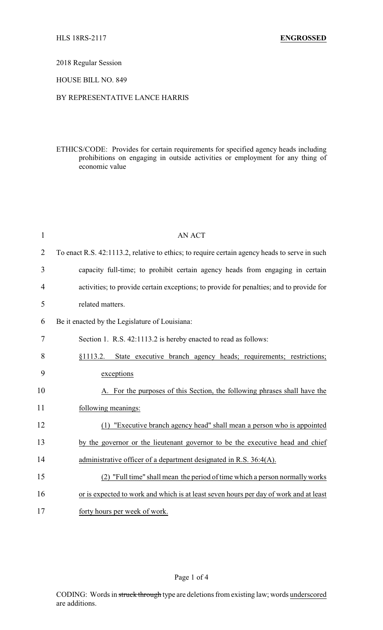# 2018 Regular Session

### HOUSE BILL NO. 849

## BY REPRESENTATIVE LANCE HARRIS

ETHICS/CODE: Provides for certain requirements for specified agency heads including prohibitions on engaging in outside activities or employment for any thing of economic value

| $\mathbf{1}$   | <b>AN ACT</b>                                                                                 |
|----------------|-----------------------------------------------------------------------------------------------|
| $\overline{2}$ | To enact R.S. 42:1113.2, relative to ethics; to require certain agency heads to serve in such |
| 3              | capacity full-time; to prohibit certain agency heads from engaging in certain                 |
| 4              | activities; to provide certain exceptions; to provide for penalties; and to provide for       |
| 5              | related matters.                                                                              |
| 6              | Be it enacted by the Legislature of Louisiana:                                                |
| 7              | Section 1. R.S. 42:1113.2 is hereby enacted to read as follows:                               |
| 8              | §1113.2. State executive branch agency heads; requirements; restrictions;                     |
| 9              | exceptions                                                                                    |
| 10             | A. For the purposes of this Section, the following phrases shall have the                     |
| 11             | following meanings:                                                                           |
| 12             | (1) "Executive branch agency head" shall mean a person who is appointed                       |
| 13             | by the governor or the lieutenant governor to be the executive head and chief                 |
| 14             | administrative officer of a department designated in R.S. 36:4(A).                            |
| 15             | "Full time" shall mean the period of time which a person normally works                       |
| 16             | or is expected to work and which is at least seven hours per day of work and at least         |
| 17             | forty hours per week of work.                                                                 |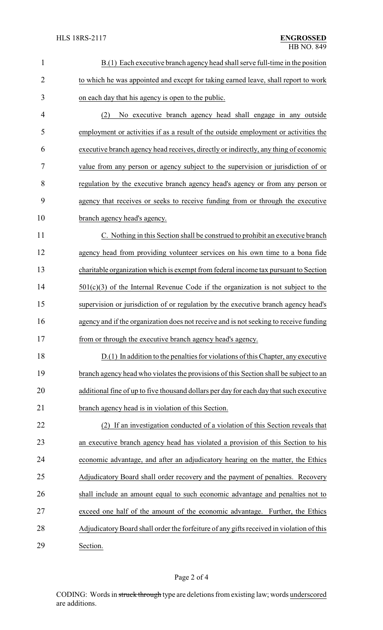| $\mathbf{1}$   | B.(1) Each executive branch agency head shall serve full-time in the position            |
|----------------|------------------------------------------------------------------------------------------|
| $\overline{2}$ | to which he was appointed and except for taking earned leave, shall report to work       |
| 3              | on each day that his agency is open to the public.                                       |
| 4              | No executive branch agency head shall engage in any outside<br>(2)                       |
| 5              | employment or activities if as a result of the outside employment or activities the      |
| 6              | executive branch agency head receives, directly or indirectly, any thing of economic     |
| 7              | value from any person or agency subject to the supervision or jurisdiction of or         |
| 8              | regulation by the executive branch agency head's agency or from any person or            |
| 9              | agency that receives or seeks to receive funding from or through the executive           |
| 10             | branch agency head's agency.                                                             |
| 11             | C. Nothing in this Section shall be construed to prohibit an executive branch            |
| 12             | agency head from providing volunteer services on his own time to a bona fide             |
| 13             | charitable organization which is exempt from federal income tax pursuant to Section      |
| 14             | $501(c)(3)$ of the Internal Revenue Code if the organization is not subject to the       |
| 15             | supervision or jurisdiction of or regulation by the executive branch agency head's       |
| 16             | agency and if the organization does not receive and is not seeking to receive funding    |
| 17             | from or through the executive branch agency head's agency.                               |
| 18             | D.(1) In addition to the penalties for violations of this Chapter, any executive         |
| 19             | branch agency head who violates the provisions of this Section shall be subject to an    |
| 20             | additional fine of up to five thousand dollars per day for each day that such executive  |
| 21             | branch agency head is in violation of this Section.                                      |
| 22             | If an investigation conducted of a violation of this Section reveals that<br>(2)         |
| 23             | an executive branch agency head has violated a provision of this Section to his          |
| 24             | economic advantage, and after an adjudicatory hearing on the matter, the Ethics          |
| 25             | Adjudicatory Board shall order recovery and the payment of penalties. Recovery           |
| 26             | shall include an amount equal to such economic advantage and penalties not to            |
| 27             | exceed one half of the amount of the economic advantage. Further, the Ethics             |
| 28             | Adjudicatory Board shall order the forfeiture of any gifts received in violation of this |
| 29             | Section.                                                                                 |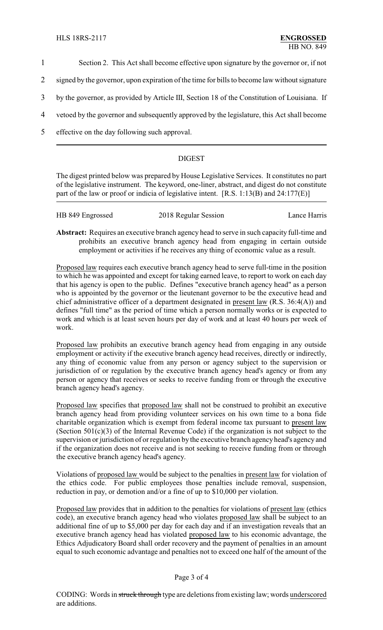- 1 Section 2. This Act shall become effective upon signature by the governor or, if not
- 2 signed by the governor, upon expiration of the time for bills to become law without signature
- 3 by the governor, as provided by Article III, Section 18 of the Constitution of Louisiana. If
- 4 vetoed by the governor and subsequently approved by the legislature, this Act shall become
- 5 effective on the day following such approval.

# DIGEST

The digest printed below was prepared by House Legislative Services. It constitutes no part of the legislative instrument. The keyword, one-liner, abstract, and digest do not constitute part of the law or proof or indicia of legislative intent. [R.S. 1:13(B) and 24:177(E)]

| HB 849 Engrossed | 2018 Regular Session | Lance Harris |
|------------------|----------------------|--------------|
|                  |                      |              |

**Abstract:** Requires an executive branch agency head to serve in such capacity full-time and prohibits an executive branch agency head from engaging in certain outside employment or activities if he receives any thing of economic value as a result.

Proposed law requires each executive branch agency head to serve full-time in the position to which he was appointed and except for taking earned leave, to report to work on each day that his agency is open to the public. Defines "executive branch agency head" as a person who is appointed by the governor or the lieutenant governor to be the executive head and chief administrative officer of a department designated in present law (R.S. 36:4(A)) and defines "full time" as the period of time which a person normally works or is expected to work and which is at least seven hours per day of work and at least 40 hours per week of work.

Proposed law prohibits an executive branch agency head from engaging in any outside employment or activity if the executive branch agency head receives, directly or indirectly, any thing of economic value from any person or agency subject to the supervision or jurisdiction of or regulation by the executive branch agency head's agency or from any person or agency that receives or seeks to receive funding from or through the executive branch agency head's agency.

Proposed law specifies that proposed law shall not be construed to prohibit an executive branch agency head from providing volunteer services on his own time to a bona fide charitable organization which is exempt from federal income tax pursuant to present law (Section 501(c)(3) of the Internal Revenue Code) if the organization is not subject to the supervision or jurisdiction of or regulation by the executive branch agencyhead's agency and if the organization does not receive and is not seeking to receive funding from or through the executive branch agency head's agency.

Violations of proposed law would be subject to the penalties in present law for violation of the ethics code. For public employees those penalties include removal, suspension, reduction in pay, or demotion and/or a fine of up to \$10,000 per violation.

Proposed law provides that in addition to the penalties for violations of present law (ethics code), an executive branch agency head who violates proposed law shall be subject to an additional fine of up to \$5,000 per day for each day and if an investigation reveals that an executive branch agency head has violated proposed law to his economic advantage, the Ethics Adjudicatory Board shall order recovery and the payment of penalties in an amount equal to such economic advantage and penalties not to exceed one half of the amount of the

### Page 3 of 4